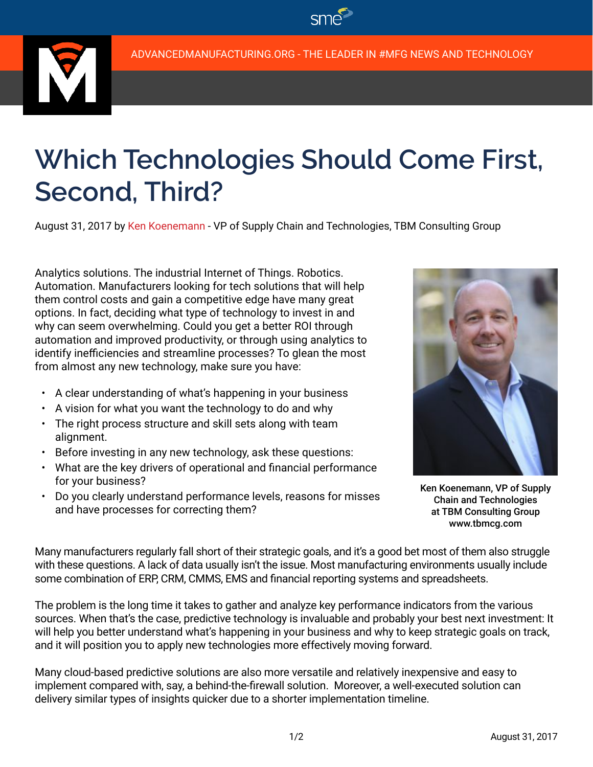$\mathsf{SMD}$ 



## **Which Technologies Should Come First, Second, Third?**

August 31, 2017 by Ken Koenemann - VP of Supply Chain and Technologies, TBM Consulting Group

Analytics solutions. The industrial Internet of Things. Robotics. Automation. Manufacturers looking for tech solutions that will help them control costs and gain a competitive edge have many great options. In fact, deciding what type of technology to invest in and why can seem overwhelming. Could you get a better ROI through automation and improved productivity, or through using analytics to identify inefficiencies and streamline processes? To glean the most from almost any new technology, make sure you have:

- A clear understanding of what's happening in your business
- A vision for what you want the technology to do and why
- The right process structure and skill sets along with team alignment.
- Before investing in any new technology, ask these questions:
- What are the key drivers of operational and financial performance for your business?
- Do you clearly understand performance levels, reasons for misses and have processes for correcting them?



Ken Koenemann, VP of Supply Chain and Technologies at TBM Consulting Group www.tbmcg.com

Many manufacturers regularly fall short of their strategic goals, and it's a good bet most of them also struggle with these questions. A lack of data usually isn't the issue. Most manufacturing environments usually include some combination of ERP, CRM, CMMS, EMS and financial reporting systems and spreadsheets.

The problem is the long time it takes to gather and analyze key performance indicators from the various sources. When that's the case, predictive technology is invaluable and probably your best next investment: It will help you better understand what's happening in your business and why to keep strategic goals on track, and it will position you to apply new technologies more effectively moving forward.

Many cloud-based predictive solutions are also more versatile and relatively inexpensive and easy to implement compared with, say, a behind-the-firewall solution. Moreover, a well-executed solution can delivery similar types of insights quicker due to a shorter implementation timeline.